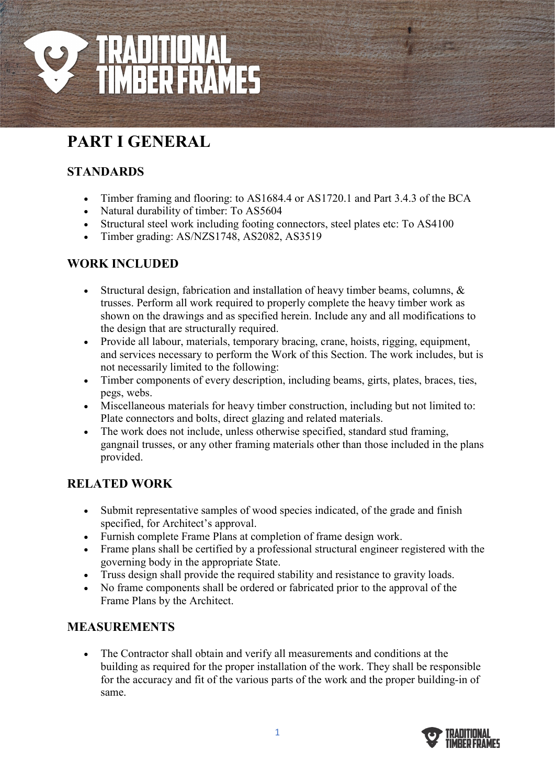

# **PART I GENERAL**

# **STANDARDS**

- Timber framing and flooring: to AS1684.4 or AS1720.1 and Part 3.4.3 of the BCA
- Natural durability of timber: To AS5604
- Structural steel work including footing connectors, steel plates etc: To AS4100
- Timber grading: AS/NZS1748, AS2082, AS3519

## **WORK INCLUDED**

- Structural design, fabrication and installation of heavy timber beams, columns, & trusses. Perform all work required to properly complete the heavy timber work as shown on the drawings and as specified herein. Include any and all modifications to the design that are structurally required.
- Provide all labour, materials, temporary bracing, crane, hoists, rigging, equipment, and services necessary to perform the Work of this Section. The work includes, but is not necessarily limited to the following:
- Timber components of every description, including beams, girts, plates, braces, ties, pegs, webs.
- Miscellaneous materials for heavy timber construction, including but not limited to: Plate connectors and bolts, direct glazing and related materials.
- The work does not include, unless otherwise specified, standard stud framing, gangnail trusses, or any other framing materials other than those included in the plans provided.

## **RELATED WORK**

- Submit representative samples of wood species indicated, of the grade and finish specified, for Architect's approval.
- Furnish complete Frame Plans at completion of frame design work.
- Frame plans shall be certified by a professional structural engineer registered with the governing body in the appropriate State.
- Truss design shall provide the required stability and resistance to gravity loads.
- No frame components shall be ordered or fabricated prior to the approval of the Frame Plans by the Architect.

#### **MEASUREMENTS**

• The Contractor shall obtain and verify all measurements and conditions at the building as required for the proper installation of the work. They shall be responsible for the accuracy and fit of the various parts of the work and the proper building-in of same.

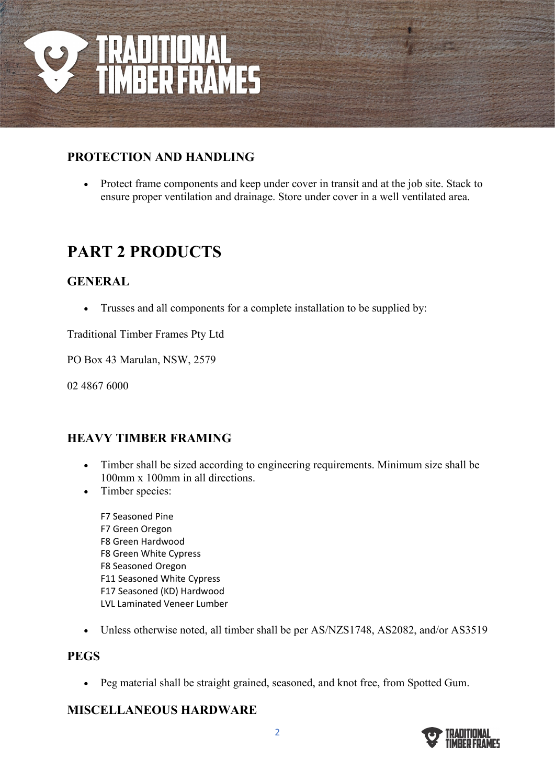

### **PROTECTION AND HANDLING**

• Protect frame components and keep under cover in transit and at the job site. Stack to ensure proper ventilation and drainage. Store under cover in a well ventilated area.

# **PART 2 PRODUCTS**

#### **GENERAL**

• Trusses and all components for a complete installation to be supplied by:

Traditional Timber Frames Pty Ltd

PO Box 43 Marulan, NSW, 2579

02 4867 6000

#### **HEAVY TIMBER FRAMING**

- Timber shall be sized according to engineering requirements. Minimum size shall be 100mm x 100mm in all directions.
- Timber species:
	- F7 Seasoned Pine F7 Green Oregon F8 Green Hardwood F8 Green White Cypress F8 Seasoned Oregon F11 Seasoned White Cypress F17 Seasoned (KD) Hardwood LVL Laminated Veneer Lumber
- Unless otherwise noted, all timber shall be per AS/NZS1748, AS2082, and/or AS3519

#### **PEGS**

• Peg material shall be straight grained, seasoned, and knot free, from Spotted Gum.

#### **MISCELLANEOUS HARDWARE**

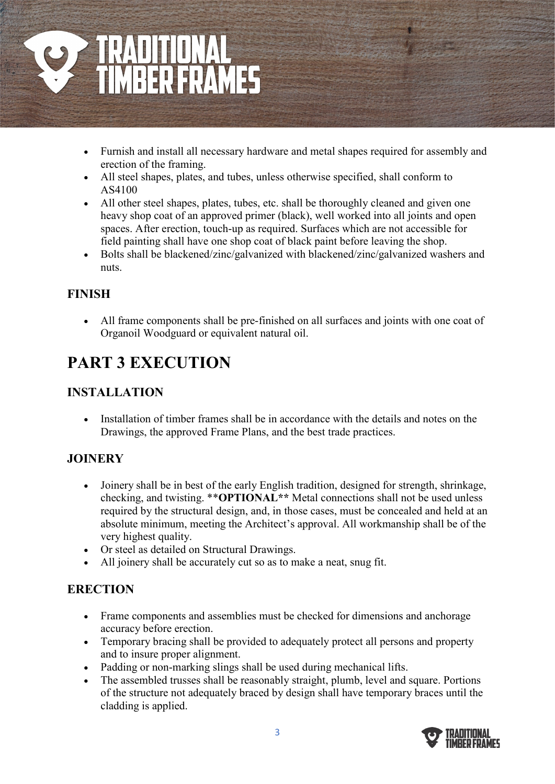

- Furnish and install all necessary hardware and metal shapes required for assembly and erection of the framing.
- All steel shapes, plates, and tubes, unless otherwise specified, shall conform to AS4100
- All other steel shapes, plates, tubes, etc. shall be thoroughly cleaned and given one heavy shop coat of an approved primer (black), well worked into all joints and open spaces. After erection, touch-up as required. Surfaces which are not accessible for field painting shall have one shop coat of black paint before leaving the shop.
- Bolts shall be blackened/zinc/galvanized with blackened/zinc/galvanized washers and nuts.

## **FINISH**

• All frame components shall be pre-finished on all surfaces and joints with one coat of Organoil Woodguard or equivalent natural oil.

# **PART 3 EXECUTION**

## **INSTALLATION**

• Installation of timber frames shall be in accordance with the details and notes on the Drawings, the approved Frame Plans, and the best trade practices.

## **JOINERY**

- Joinery shall be in best of the early English tradition, designed for strength, shrinkage, checking, and twisting. \*\***OPTIONAL\*\*** Metal connections shall not be used unless required by the structural design, and, in those cases, must be concealed and held at an absolute minimum, meeting the Architect's approval. All workmanship shall be of the very highest quality.
- Or steel as detailed on Structural Drawings.
- All joinery shall be accurately cut so as to make a neat, snug fit.

# **ERECTION**

- Frame components and assemblies must be checked for dimensions and anchorage accuracy before erection.
- Temporary bracing shall be provided to adequately protect all persons and property and to insure proper alignment.
- Padding or non-marking slings shall be used during mechanical lifts.
- The assembled trusses shall be reasonably straight, plumb, level and square. Portions of the structure not adequately braced by design shall have temporary braces until the cladding is applied.